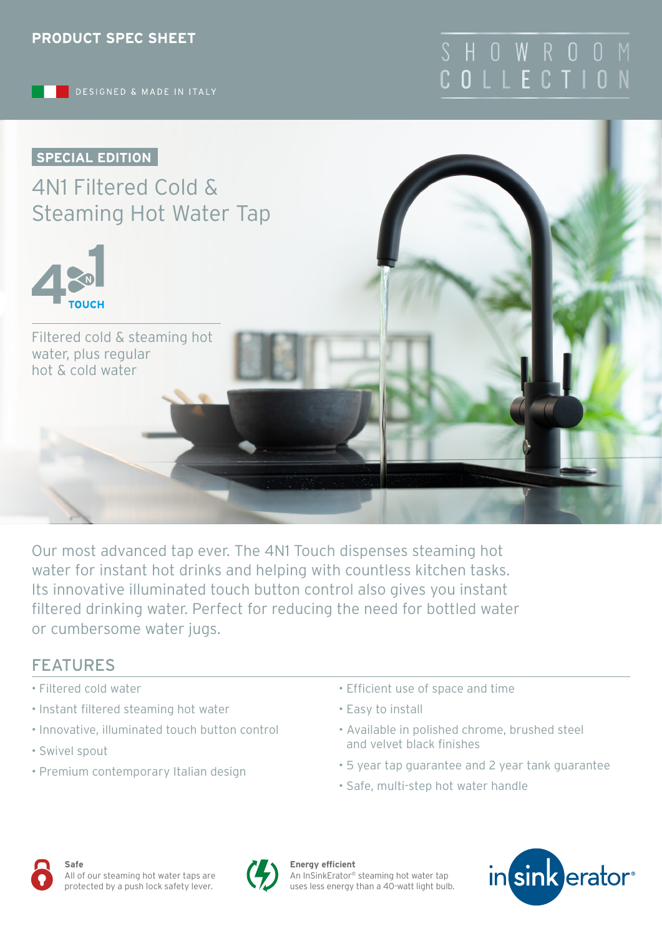

# S H O W R O O COLLECTIO



4N1 Filtered Cold & Steaming Hot Water Tap



Filtered cold & steaming hot water, plus regular hot & cold water

Our most advanced tap ever. The 4N1 Touch dispenses steaming hot water for instant hot drinks and helping with countless kitchen tasks. Its innovative illuminated touch button control also gives you instant filtered drinking water. Perfect for reducing the need for bottled water or cumbersome water jugs.

### FEATURES

- Filtered cold water
- Instant filtered steaming hot water
- Innovative, illuminated touch button control
- Swivel spout
- Premium contemporary Italian design
- Efficient use of space and time
- Easy to install
- Available in polished chrome, brushed steel and velvet black finishes
- 5 year tap guarantee and 2 year tank guarantee
- Safe, multi-step hot water handle





**Energy efficient** An InSinkErator® steaming hot water tap uses less energy than a 40-watt light bulb.